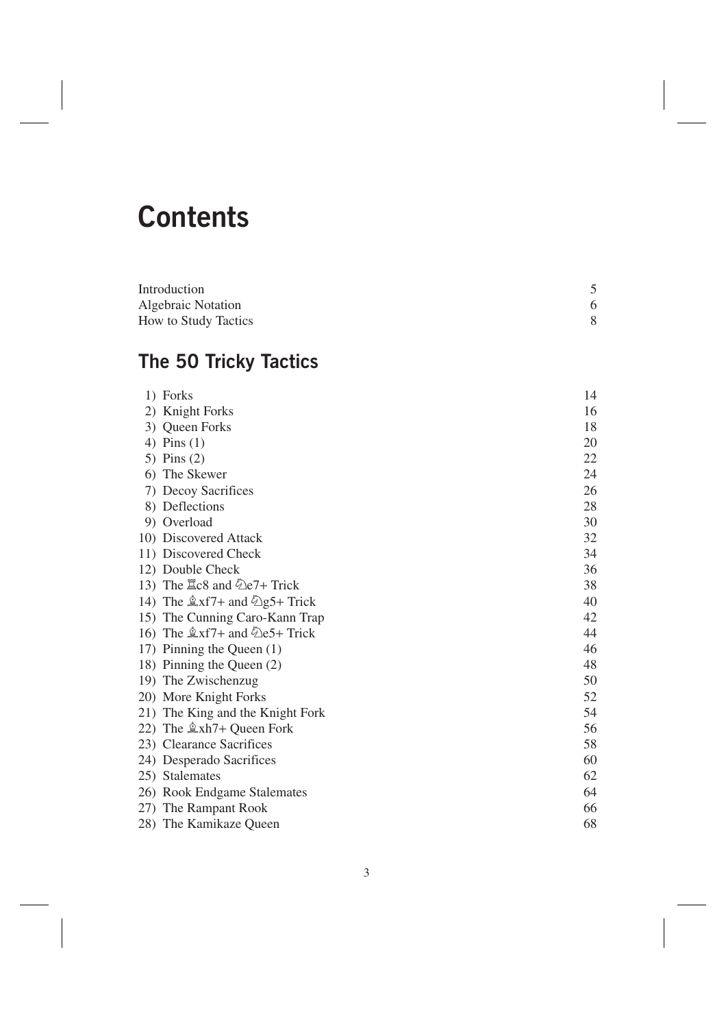## **Contents**

| Introduction                |  |
|-----------------------------|--|
| <b>Algebraic Notation</b>   |  |
| <b>How to Study Tactics</b> |  |

## **The 50 Tricky Tactics**

|    | 1) Forks                              | 14 |
|----|---------------------------------------|----|
|    | 2) Knight Forks                       | 16 |
|    | 3) Queen Forks                        | 18 |
|    | 4) Pins $(1)$                         | 20 |
|    | 5) Pins $(2)$                         | 22 |
| 6) | The Skewer                            | 24 |
|    | 7) Decoy Sacrifices                   | 26 |
|    | 8) Deflections                        | 28 |
|    | 9) Overload                           | 30 |
|    | 10) Discovered Attack                 | 32 |
|    | 11) Discovered Check                  | 34 |
|    | 12) Double Check                      | 36 |
|    | 13) The $\Xi$ c8 and $\Phi$ e7+ Trick | 38 |
|    | 14) The $\&$ xf7+ and $\&$ g5+ Trick  | 40 |
|    | 15) The Cunning Caro-Kann Trap        | 42 |
|    | 16) The $\&$ xf7+ and $\&$ e5+ Trick  | 44 |
|    | 17) Pinning the Queen (1)             | 46 |
|    | 18) Pinning the Queen (2)             | 48 |
|    | 19) The Zwischenzug                   | 50 |
|    | 20) More Knight Forks                 | 52 |
|    | 21) The King and the Knight Fork      | 54 |
|    | 22) The $\&$ xh7+ Queen Fork          | 56 |
|    | 23) Clearance Sacrifices              | 58 |
|    | 24) Desperado Sacrifices              | 60 |
|    | 25) Stalemates                        | 62 |
|    | 26) Rook Endgame Stalemates           | 64 |
|    | 27) The Rampant Rook                  | 66 |
|    | 28) The Kamikaze Queen                | 68 |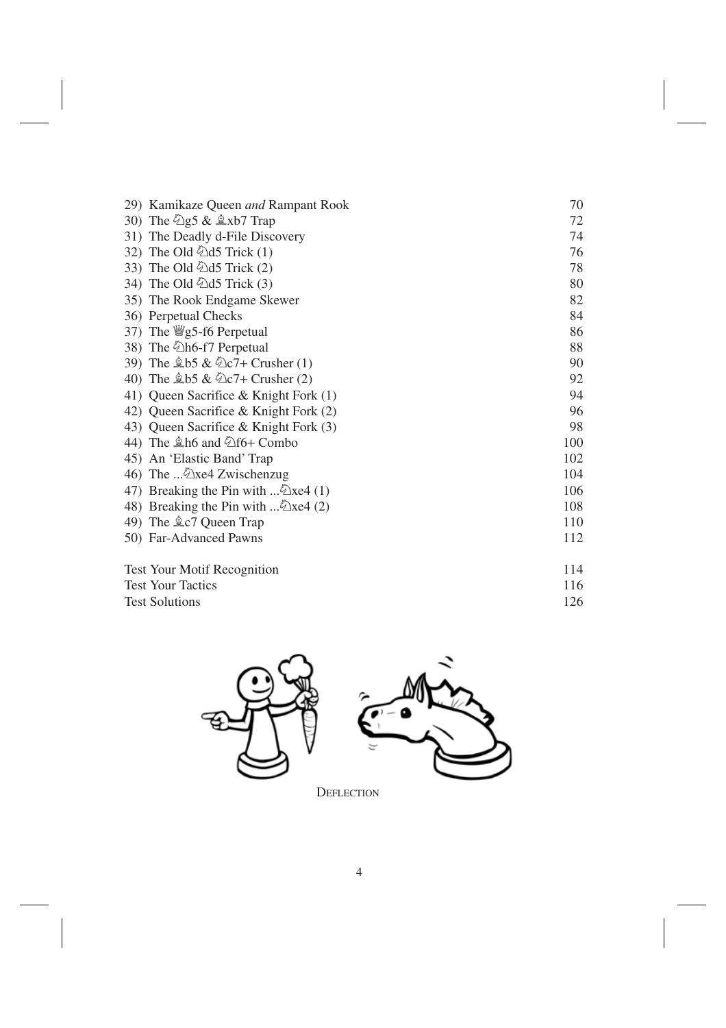|                       | 29) Kamikaze Queen and Rampant Rook                         | 70  |
|-----------------------|-------------------------------------------------------------|-----|
|                       | 30) The $\hat{\mathbb{Z}}$ g5 & $\hat{\mathbb{Z}}$ xb7 Trap | 72  |
|                       | 31) The Deadly d-File Discovery                             | 74  |
|                       | 32) The Old $\ddot{Q}$ d5 Trick (1)                         | 76  |
|                       | 33) The Old $\ddot{Q}$ d5 Trick (2)                         | 78  |
|                       | 34) The Old 2d5 Trick (3)                                   | 80  |
|                       | 35) The Rook Endgame Skewer                                 | 82  |
|                       | 36) Perpetual Checks                                        | 84  |
|                       | 37) The $\frac{100}{2}$ s = 6 Perpetual                     | 86  |
|                       | 38) The 2h6-f7 Perpetual                                    | 88  |
|                       | 39) The $$b5 \& $2c7+Crusher(1)$                            | 90  |
|                       | 40) The $\$b5 \& \$c7 +$ Crusher (2)                        | 92  |
|                       | 41) Queen Sacrifice & Knight Fork (1)                       | 94  |
|                       | 42) Queen Sacrifice & Knight Fork (2)                       | 96  |
|                       | 43) Queen Sacrifice & Knight Fork (3)                       | 98  |
|                       | 44) The $\triangle$ h6 and $\triangle$ f6+ Combo            | 100 |
|                       | 45) An 'Elastic Band' Trap                                  | 102 |
|                       | 46) The  Exe4 Zwischenzug                                   | 104 |
|                       | 47) Breaking the Pin with  2xe4 (1)                         | 106 |
|                       | 48) Breaking the Pin with  2xe4 (2)                         | 108 |
|                       | 49) The $2c7$ Queen Trap                                    | 110 |
|                       | 50) Far-Advanced Pawns                                      | 112 |
|                       | <b>Test Your Motif Recognition</b>                          | 114 |
|                       | <b>Test Your Tactics</b>                                    | 116 |
| <b>Test Solutions</b> |                                                             | 126 |



DEFLECTION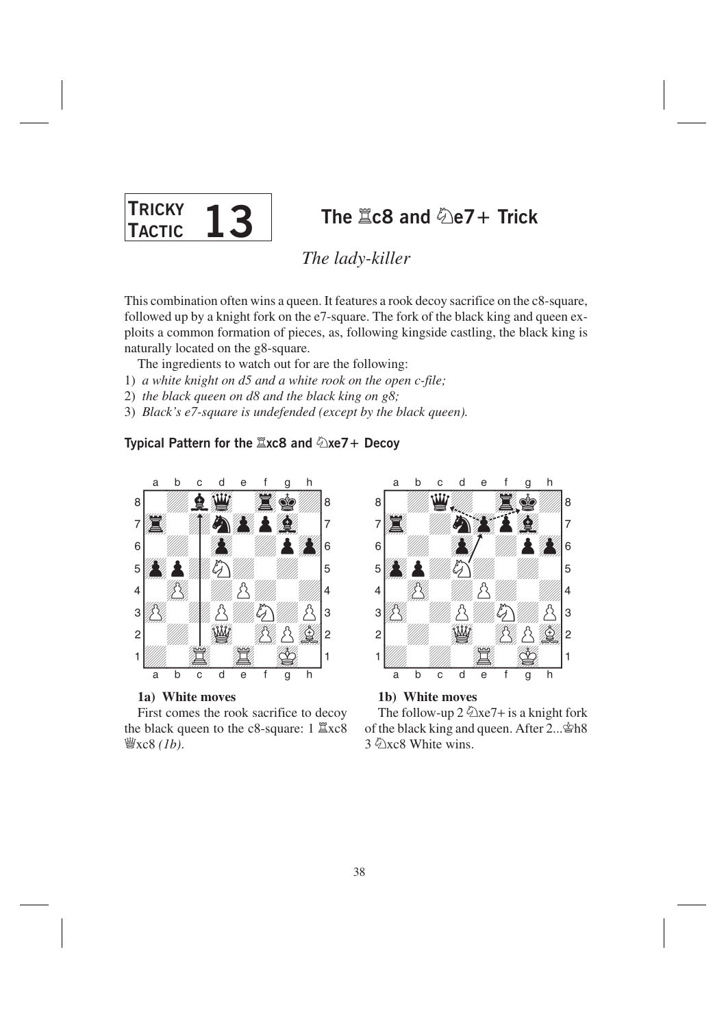

## The  $\angle$  2c8 and  $\angle$  e7 + Trick

The lady-killer

This combination often wins a queen. It features a rook decoy sacrifice on the c8-square, followed up by a knight fork on the e7-square. The fork of the black king and queen exploits a common formation of pieces, as, following kingside castling, the black king is naturally located on the g8-square.

The ingredients to watch out for are the following:

- 1) a white knight on d5 and a white rook on the open c-file;
- 2) the black queen on  $d8$  and the black king on  $g8$ ;
- 3) Black's e7-square is undefended (except by the black queen).

## Typical Pattern for the  $\angle xc8$  and  $\angle xe7 +$  Decoy



1a) White moves

First comes the rook sacrifice to decoy the black queen to the  $c8$ -square: 1  $\Xi$ xc8 灣 $xc8$  (1b).



1b) White moves

The follow-up  $2\sqrt[2]{2}xe7 + is a$  knight fork of the black king and queen. After 2... \$h8 3 2xc8 White wins.